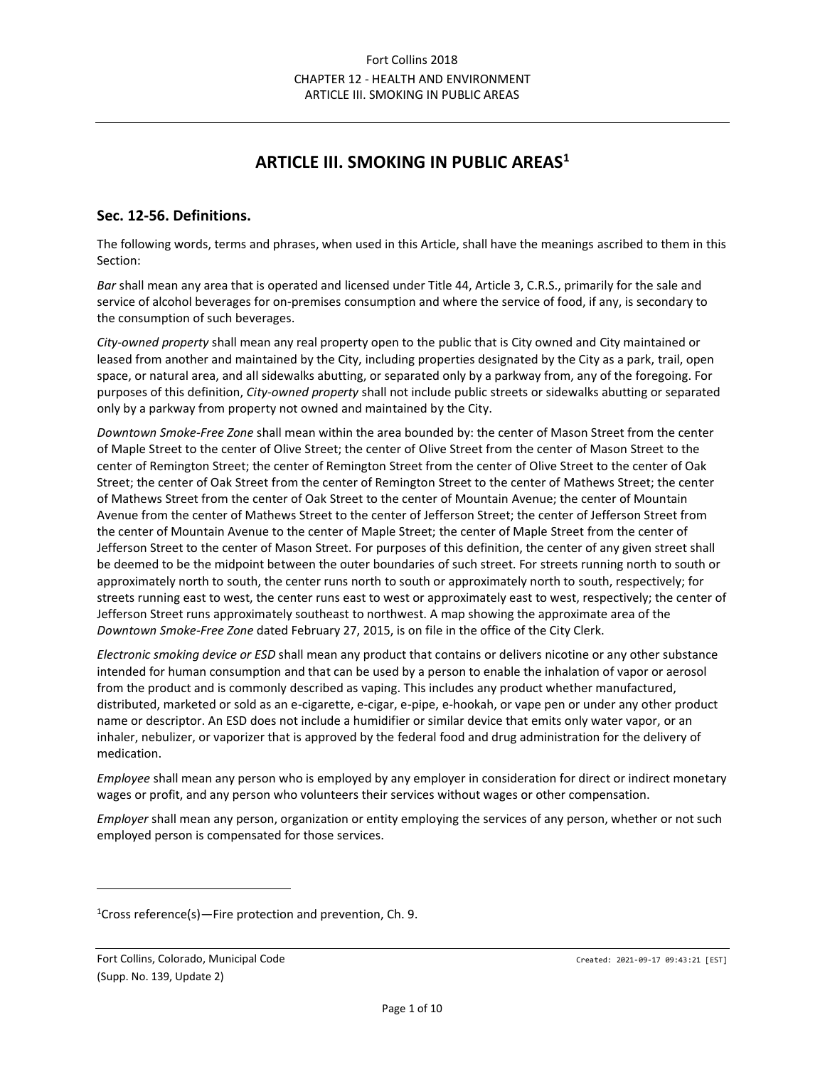# **ARTICLE III. SMOKING IN PUBLIC AREAS<sup>1</sup>**

### **Sec. 12-56. Definitions.**

The following words, terms and phrases, when used in this Article, shall have the meanings ascribed to them in this Section:

*Bar* shall mean any area that is operated and licensed under Title 44, Article 3, C.R.S., primarily for the sale and service of alcohol beverages for on-premises consumption and where the service of food, if any, is secondary to the consumption of such beverages.

*City-owned property* shall mean any real property open to the public that is City owned and City maintained or leased from another and maintained by the City, including properties designated by the City as a park, trail, open space, or natural area, and all sidewalks abutting, or separated only by a parkway from, any of the foregoing. For purposes of this definition, *City-owned property* shall not include public streets or sidewalks abutting or separated only by a parkway from property not owned and maintained by the City.

*Downtown Smoke-Free Zone* shall mean within the area bounded by: the center of Mason Street from the center of Maple Street to the center of Olive Street; the center of Olive Street from the center of Mason Street to the center of Remington Street; the center of Remington Street from the center of Olive Street to the center of Oak Street; the center of Oak Street from the center of Remington Street to the center of Mathews Street; the center of Mathews Street from the center of Oak Street to the center of Mountain Avenue; the center of Mountain Avenue from the center of Mathews Street to the center of Jefferson Street; the center of Jefferson Street from the center of Mountain Avenue to the center of Maple Street; the center of Maple Street from the center of Jefferson Street to the center of Mason Street. For purposes of this definition, the center of any given street shall be deemed to be the midpoint between the outer boundaries of such street. For streets running north to south or approximately north to south, the center runs north to south or approximately north to south, respectively; for streets running east to west, the center runs east to west or approximately east to west, respectively; the center of Jefferson Street runs approximately southeast to northwest. A map showing the approximate area of the *Downtown Smoke-Free Zone* dated February 27, 2015, is on file in the office of the City Clerk.

*Electronic smoking device or ESD* shall mean any product that contains or delivers nicotine or any other substance intended for human consumption and that can be used by a person to enable the inhalation of vapor or aerosol from the product and is commonly described as vaping. This includes any product whether manufactured, distributed, marketed or sold as an e-cigarette, e-cigar, e-pipe, e-hookah, or vape pen or under any other product name or descriptor. An ESD does not include a humidifier or similar device that emits only water vapor, or an inhaler, nebulizer, or vaporizer that is approved by the federal food and drug administration for the delivery of medication.

*Employee* shall mean any person who is employed by any employer in consideration for direct or indirect monetary wages or profit, and any person who volunteers their services without wages or other compensation.

*Employer* shall mean any person, organization or entity employing the services of any person, whether or not such employed person is compensated for those services.

<sup>1</sup>Cross reference(s)—Fire protection and prevention, Ch. 9.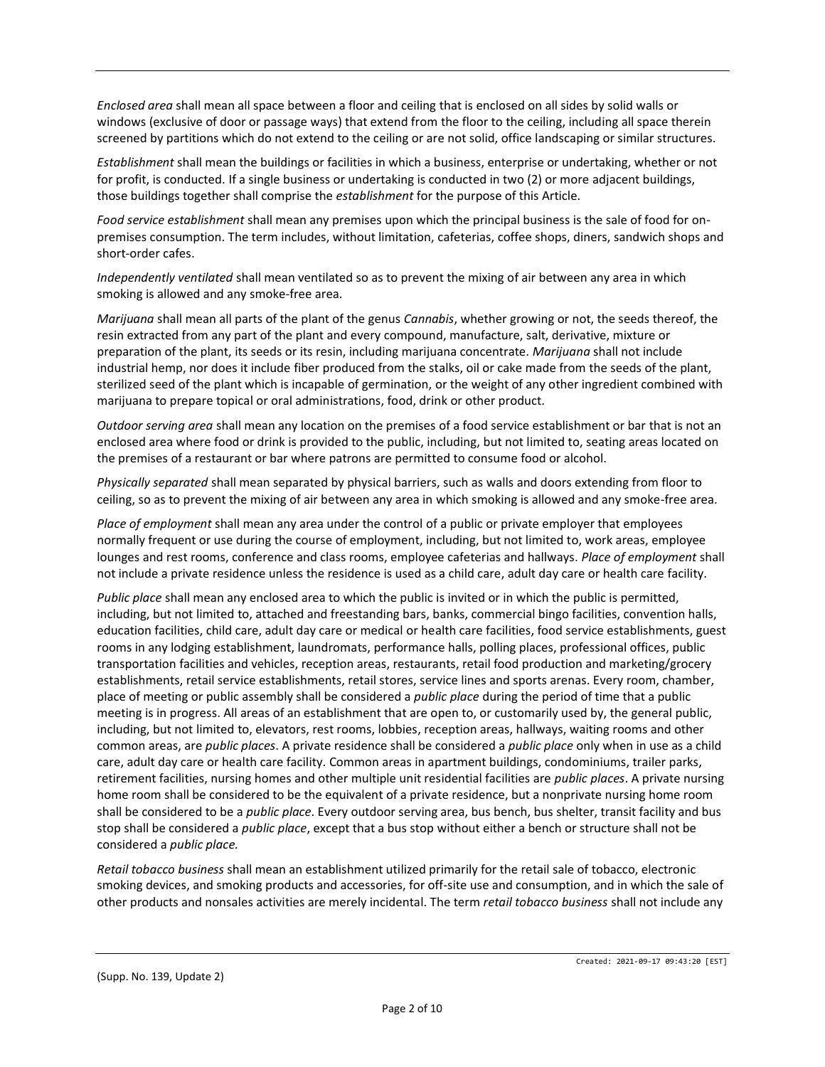*Enclosed area* shall mean all space between a floor and ceiling that is enclosed on all sides by solid walls or windows (exclusive of door or passage ways) that extend from the floor to the ceiling, including all space therein screened by partitions which do not extend to the ceiling or are not solid, office landscaping or similar structures.

*Establishment* shall mean the buildings or facilities in which a business, enterprise or undertaking, whether or not for profit, is conducted. If a single business or undertaking is conducted in two (2) or more adjacent buildings, those buildings together shall comprise the *establishment* for the purpose of this Article.

*Food service establishment* shall mean any premises upon which the principal business is the sale of food for onpremises consumption. The term includes, without limitation, cafeterias, coffee shops, diners, sandwich shops and short-order cafes.

*Independently ventilated* shall mean ventilated so as to prevent the mixing of air between any area in which smoking is allowed and any smoke-free area.

*Marijuana* shall mean all parts of the plant of the genus *Cannabis*, whether growing or not, the seeds thereof, the resin extracted from any part of the plant and every compound, manufacture, salt, derivative, mixture or preparation of the plant, its seeds or its resin, including marijuana concentrate. *Marijuana* shall not include industrial hemp, nor does it include fiber produced from the stalks, oil or cake made from the seeds of the plant, sterilized seed of the plant which is incapable of germination, or the weight of any other ingredient combined with marijuana to prepare topical or oral administrations, food, drink or other product.

*Outdoor serving area* shall mean any location on the premises of a food service establishment or bar that is not an enclosed area where food or drink is provided to the public, including, but not limited to, seating areas located on the premises of a restaurant or bar where patrons are permitted to consume food or alcohol.

*Physically separated* shall mean separated by physical barriers, such as walls and doors extending from floor to ceiling, so as to prevent the mixing of air between any area in which smoking is allowed and any smoke-free area.

*Place of employment* shall mean any area under the control of a public or private employer that employees normally frequent or use during the course of employment, including, but not limited to, work areas, employee lounges and rest rooms, conference and class rooms, employee cafeterias and hallways. *Place of employment* shall not include a private residence unless the residence is used as a child care, adult day care or health care facility.

*Public place* shall mean any enclosed area to which the public is invited or in which the public is permitted, including, but not limited to, attached and freestanding bars, banks, commercial bingo facilities, convention halls, education facilities, child care, adult day care or medical or health care facilities, food service establishments, guest rooms in any lodging establishment, laundromats, performance halls, polling places, professional offices, public transportation facilities and vehicles, reception areas, restaurants, retail food production and marketing/grocery establishments, retail service establishments, retail stores, service lines and sports arenas. Every room, chamber, place of meeting or public assembly shall be considered a *public place* during the period of time that a public meeting is in progress. All areas of an establishment that are open to, or customarily used by, the general public, including, but not limited to, elevators, rest rooms, lobbies, reception areas, hallways, waiting rooms and other common areas, are *public places*. A private residence shall be considered a *public place* only when in use as a child care, adult day care or health care facility. Common areas in apartment buildings, condominiums, trailer parks, retirement facilities, nursing homes and other multiple unit residential facilities are *public places*. A private nursing home room shall be considered to be the equivalent of a private residence, but a nonprivate nursing home room shall be considered to be a *public place*. Every outdoor serving area, bus bench, bus shelter, transit facility and bus stop shall be considered a *public place*, except that a bus stop without either a bench or structure shall not be considered a *public place.*

*Retail tobacco business* shall mean an establishment utilized primarily for the retail sale of tobacco, electronic smoking devices, and smoking products and accessories, for off-site use and consumption, and in which the sale of other products and nonsales activities are merely incidental. The term *retail tobacco business* shall not include any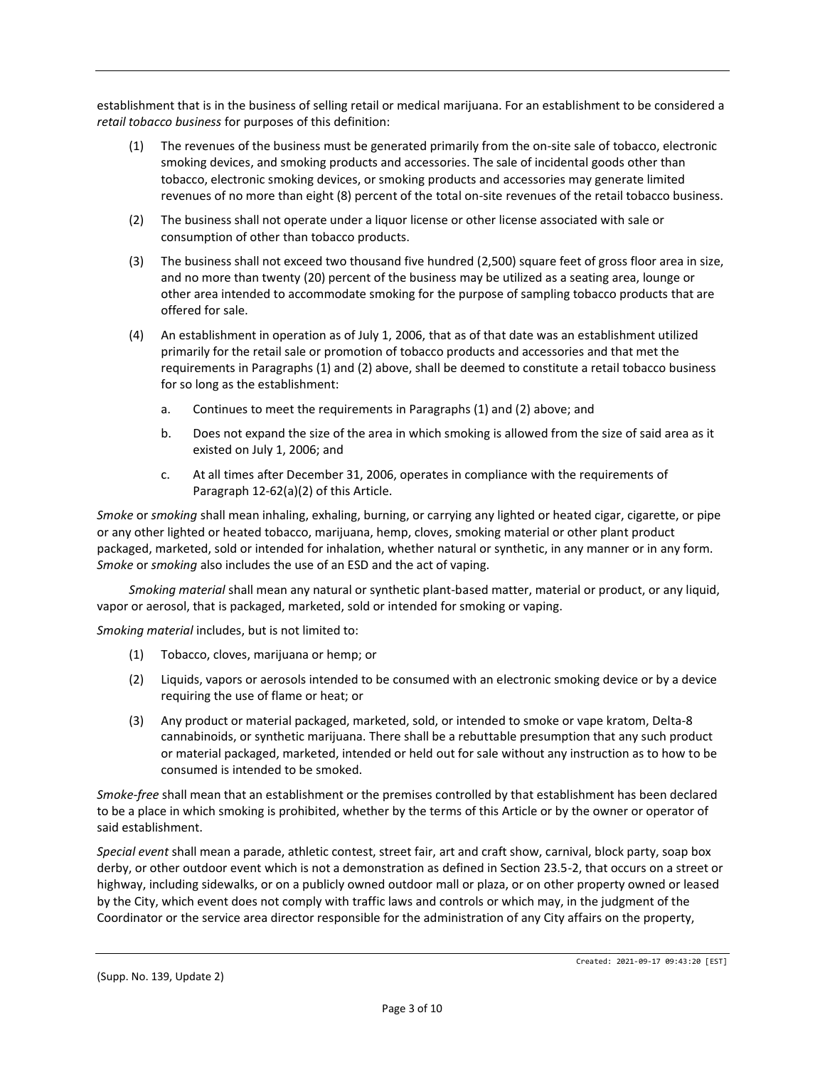establishment that is in the business of selling retail or medical marijuana. For an establishment to be considered a *retail tobacco business* for purposes of this definition:

- (1) The revenues of the business must be generated primarily from the on-site sale of tobacco, electronic smoking devices, and smoking products and accessories. The sale of incidental goods other than tobacco, electronic smoking devices, or smoking products and accessories may generate limited revenues of no more than eight (8) percent of the total on-site revenues of the retail tobacco business.
- (2) The business shall not operate under a liquor license or other license associated with sale or consumption of other than tobacco products.
- (3) The business shall not exceed two thousand five hundred (2,500) square feet of gross floor area in size, and no more than twenty (20) percent of the business may be utilized as a seating area, lounge or other area intended to accommodate smoking for the purpose of sampling tobacco products that are offered for sale.
- (4) An establishment in operation as of July 1, 2006, that as of that date was an establishment utilized primarily for the retail sale or promotion of tobacco products and accessories and that met the requirements in Paragraphs (1) and (2) above, shall be deemed to constitute a retail tobacco business for so long as the establishment:
	- a. Continues to meet the requirements in Paragraphs (1) and (2) above; and
	- b. Does not expand the size of the area in which smoking is allowed from the size of said area as it existed on July 1, 2006; and
	- c. At all times after December 31, 2006, operates in compliance with the requirements of Paragraph 12-62(a)(2) of this Article.

*Smoke* or *smoking* shall mean inhaling, exhaling, burning, or carrying any lighted or heated cigar, cigarette, or pipe or any other lighted or heated tobacco, marijuana, hemp, cloves, smoking material or other plant product packaged, marketed, sold or intended for inhalation, whether natural or synthetic, in any manner or in any form. *Smoke* or *smoking* also includes the use of an ESD and the act of vaping.

*Smoking material* shall mean any natural or synthetic plant-based matter, material or product, or any liquid, vapor or aerosol, that is packaged, marketed, sold or intended for smoking or vaping.

*Smoking material* includes, but is not limited to:

- (1) Tobacco, cloves, marijuana or hemp; or
- (2) Liquids, vapors or aerosols intended to be consumed with an electronic smoking device or by a device requiring the use of flame or heat; or
- (3) Any product or material packaged, marketed, sold, or intended to smoke or vape kratom, Delta-8 cannabinoids, or synthetic marijuana. There shall be a rebuttable presumption that any such product or material packaged, marketed, intended or held out for sale without any instruction as to how to be consumed is intended to be smoked.

*Smoke-free* shall mean that an establishment or the premises controlled by that establishment has been declared to be a place in which smoking is prohibited, whether by the terms of this Article or by the owner or operator of said establishment.

*Special event* shall mean a parade, athletic contest, street fair, art and craft show, carnival, block party, soap box derby, or other outdoor event which is not a demonstration as defined in Section 23.5-2, that occurs on a street or highway, including sidewalks, or on a publicly owned outdoor mall or plaza, or on other property owned or leased by the City, which event does not comply with traffic laws and controls or which may, in the judgment of the Coordinator or the service area director responsible for the administration of any City affairs on the property,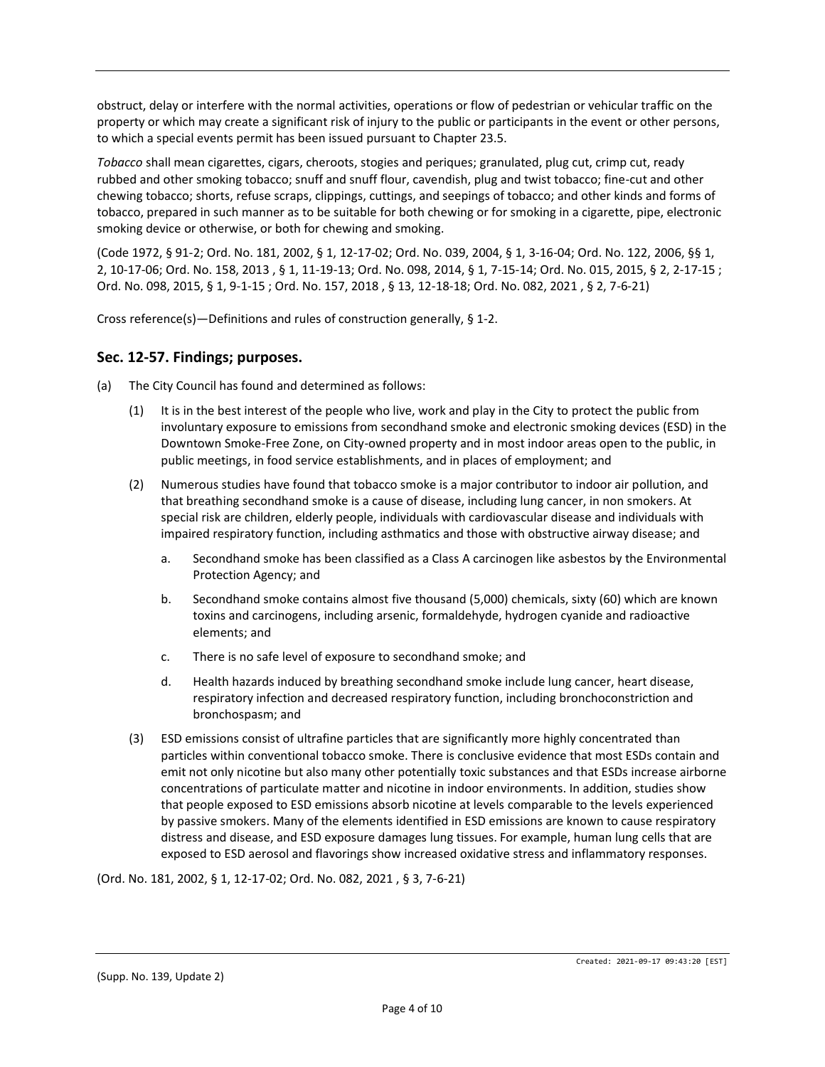obstruct, delay or interfere with the normal activities, operations or flow of pedestrian or vehicular traffic on the property or which may create a significant risk of injury to the public or participants in the event or other persons, to which a special events permit has been issued pursuant to Chapter 23.5.

*Tobacco* shall mean cigarettes, cigars, cheroots, stogies and periques; granulated, plug cut, crimp cut, ready rubbed and other smoking tobacco; snuff and snuff flour, cavendish, plug and twist tobacco; fine-cut and other chewing tobacco; shorts, refuse scraps, clippings, cuttings, and seepings of tobacco; and other kinds and forms of tobacco, prepared in such manner as to be suitable for both chewing or for smoking in a cigarette, pipe, electronic smoking device or otherwise, or both for chewing and smoking.

(Code 1972, § 91-2; Ord. No. 181, 2002, § 1, 12-17-02; Ord. No. 039, 2004, § 1, 3-16-04; Ord. No. 122, 2006, §§ 1, 2, 10-17-06; Ord. No. 158, 2013 , § 1, 11-19-13; Ord. No. 098, 2014, § 1, 7-15-14; Ord. No. 015, 2015, § 2, 2-17-15 ; Ord. No. 098, 2015, § 1, 9-1-15 ; Ord. No. 157, 2018 , § 13, 12-18-18; Ord. No. 082, 2021 , § 2, 7-6-21)

Cross reference(s)—Definitions and rules of construction generally, § 1-2.

#### **Sec. 12-57. Findings; purposes.**

- (a) The City Council has found and determined as follows:
	- (1) It is in the best interest of the people who live, work and play in the City to protect the public from involuntary exposure to emissions from secondhand smoke and electronic smoking devices (ESD) in the Downtown Smoke-Free Zone, on City-owned property and in most indoor areas open to the public, in public meetings, in food service establishments, and in places of employment; and
	- (2) Numerous studies have found that tobacco smoke is a major contributor to indoor air pollution, and that breathing secondhand smoke is a cause of disease, including lung cancer, in non smokers. At special risk are children, elderly people, individuals with cardiovascular disease and individuals with impaired respiratory function, including asthmatics and those with obstructive airway disease; and
		- a. Secondhand smoke has been classified as a Class A carcinogen like asbestos by the Environmental Protection Agency; and
		- b. Secondhand smoke contains almost five thousand (5,000) chemicals, sixty (60) which are known toxins and carcinogens, including arsenic, formaldehyde, hydrogen cyanide and radioactive elements; and
		- c. There is no safe level of exposure to secondhand smoke; and
		- d. Health hazards induced by breathing secondhand smoke include lung cancer, heart disease, respiratory infection and decreased respiratory function, including bronchoconstriction and bronchospasm; and
	- (3) ESD emissions consist of ultrafine particles that are significantly more highly concentrated than particles within conventional tobacco smoke. There is conclusive evidence that most ESDs contain and emit not only nicotine but also many other potentially toxic substances and that ESDs increase airborne concentrations of particulate matter and nicotine in indoor environments. In addition, studies show that people exposed to ESD emissions absorb nicotine at levels comparable to the levels experienced by passive smokers. Many of the elements identified in ESD emissions are known to cause respiratory distress and disease, and ESD exposure damages lung tissues. For example, human lung cells that are exposed to ESD aerosol and flavorings show increased oxidative stress and inflammatory responses.

(Ord. No. 181, 2002, § 1, 12-17-02; Ord. No. 082, 2021 , § 3, 7-6-21)

(Supp. No. 139, Update 2)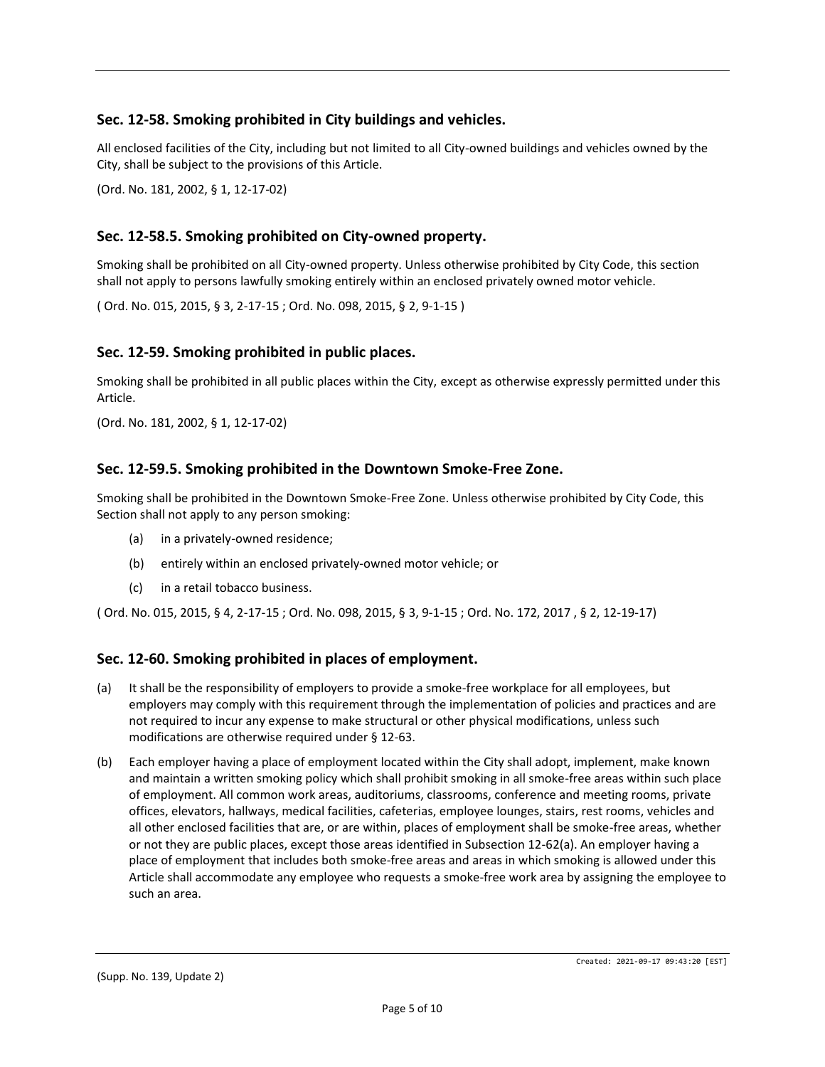# **Sec. 12-58. Smoking prohibited in City buildings and vehicles.**

All enclosed facilities of the City, including but not limited to all City-owned buildings and vehicles owned by the City, shall be subject to the provisions of this Article.

(Ord. No. 181, 2002, § 1, 12-17-02)

# **Sec. 12-58.5. Smoking prohibited on City-owned property.**

Smoking shall be prohibited on all City-owned property. Unless otherwise prohibited by City Code, this section shall not apply to persons lawfully smoking entirely within an enclosed privately owned motor vehicle.

( Ord. No. 015, 2015, § 3, 2-17-15 ; Ord. No. 098, 2015, § 2, 9-1-15 )

### **Sec. 12-59. Smoking prohibited in public places.**

Smoking shall be prohibited in all public places within the City, except as otherwise expressly permitted under this Article.

(Ord. No. 181, 2002, § 1, 12-17-02)

#### **Sec. 12-59.5. Smoking prohibited in the Downtown Smoke-Free Zone.**

Smoking shall be prohibited in the Downtown Smoke-Free Zone. Unless otherwise prohibited by City Code, this Section shall not apply to any person smoking:

- (a) in a privately-owned residence;
- (b) entirely within an enclosed privately-owned motor vehicle; or
- (c) in a retail tobacco business.

( Ord. No. 015, 2015, § 4, 2-17-15 ; Ord. No. 098, 2015, § 3, 9-1-15 ; Ord. No. 172, 2017 , § 2, 12-19-17)

### **Sec. 12-60. Smoking prohibited in places of employment.**

- (a) It shall be the responsibility of employers to provide a smoke-free workplace for all employees, but employers may comply with this requirement through the implementation of policies and practices and are not required to incur any expense to make structural or other physical modifications, unless such modifications are otherwise required under § 12-63.
- (b) Each employer having a place of employment located within the City shall adopt, implement, make known and maintain a written smoking policy which shall prohibit smoking in all smoke-free areas within such place of employment. All common work areas, auditoriums, classrooms, conference and meeting rooms, private offices, elevators, hallways, medical facilities, cafeterias, employee lounges, stairs, rest rooms, vehicles and all other enclosed facilities that are, or are within, places of employment shall be smoke-free areas, whether or not they are public places, except those areas identified in Subsection 12-62(a). An employer having a place of employment that includes both smoke-free areas and areas in which smoking is allowed under this Article shall accommodate any employee who requests a smoke-free work area by assigning the employee to such an area.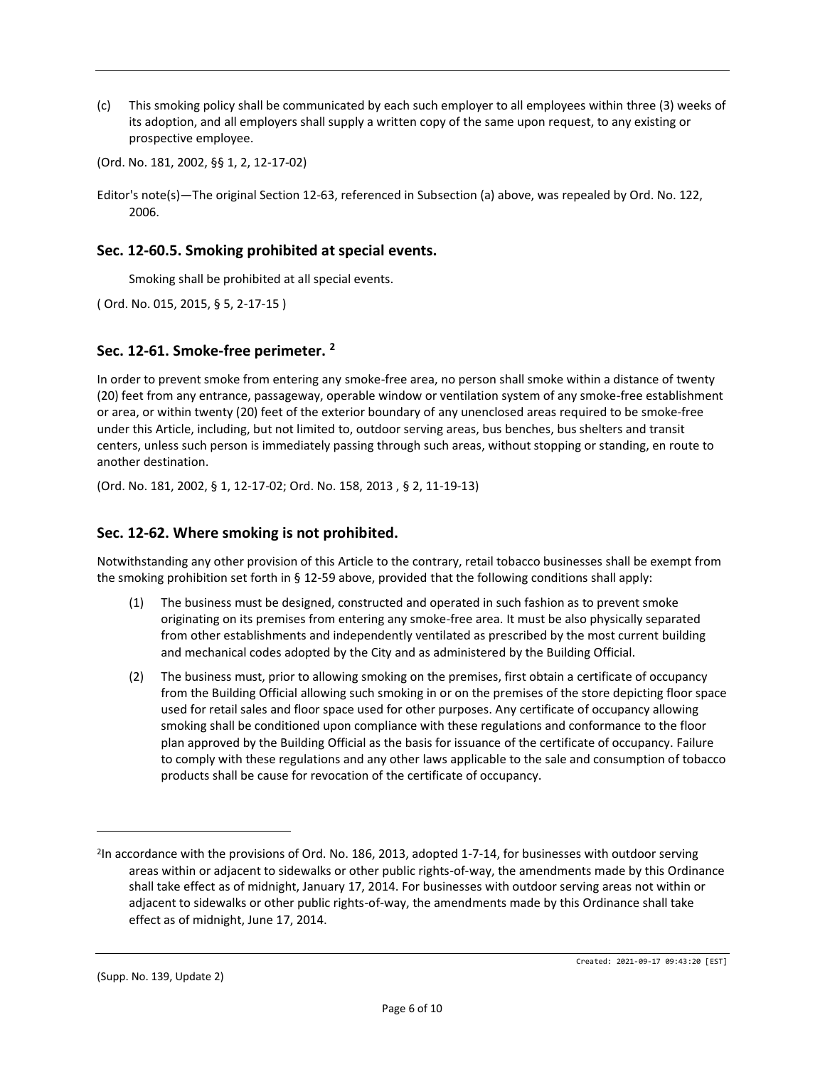(c) This smoking policy shall be communicated by each such employer to all employees within three (3) weeks of its adoption, and all employers shall supply a written copy of the same upon request, to any existing or prospective employee.

(Ord. No. 181, 2002, §§ 1, 2, 12-17-02)

Editor's note(s)—The original Section 12-63, referenced in Subsection (a) above, was repealed by Ord. No. 122, 2006.

# **Sec. 12-60.5. Smoking prohibited at special events.**

Smoking shall be prohibited at all special events.

( Ord. No. 015, 2015, § 5, 2-17-15 )

### **Sec. 12-61. Smoke-free perimeter. <sup>2</sup>**

In order to prevent smoke from entering any smoke-free area, no person shall smoke within a distance of twenty (20) feet from any entrance, passageway, operable window or ventilation system of any smoke-free establishment or area, or within twenty (20) feet of the exterior boundary of any unenclosed areas required to be smoke-free under this Article, including, but not limited to, outdoor serving areas, bus benches, bus shelters and transit centers, unless such person is immediately passing through such areas, without stopping or standing, en route to another destination.

(Ord. No. 181, 2002, § 1, 12-17-02; Ord. No. 158, 2013 , § 2, 11-19-13)

## **Sec. 12-62. Where smoking is not prohibited.**

Notwithstanding any other provision of this Article to the contrary, retail tobacco businesses shall be exempt from the smoking prohibition set forth in § 12-59 above, provided that the following conditions shall apply:

- (1) The business must be designed, constructed and operated in such fashion as to prevent smoke originating on its premises from entering any smoke-free area. It must be also physically separated from other establishments and independently ventilated as prescribed by the most current building and mechanical codes adopted by the City and as administered by the Building Official.
- (2) The business must, prior to allowing smoking on the premises, first obtain a certificate of occupancy from the Building Official allowing such smoking in or on the premises of the store depicting floor space used for retail sales and floor space used for other purposes. Any certificate of occupancy allowing smoking shall be conditioned upon compliance with these regulations and conformance to the floor plan approved by the Building Official as the basis for issuance of the certificate of occupancy. Failure to comply with these regulations and any other laws applicable to the sale and consumption of tobacco products shall be cause for revocation of the certificate of occupancy.

<sup>2</sup> In accordance with the provisions of Ord. No. 186, 2013, adopted 1-7-14, for businesses with outdoor serving areas within or adjacent to sidewalks or other public rights-of-way, the amendments made by this Ordinance shall take effect as of midnight, January 17, 2014. For businesses with outdoor serving areas not within or adjacent to sidewalks or other public rights-of-way, the amendments made by this Ordinance shall take effect as of midnight, June 17, 2014.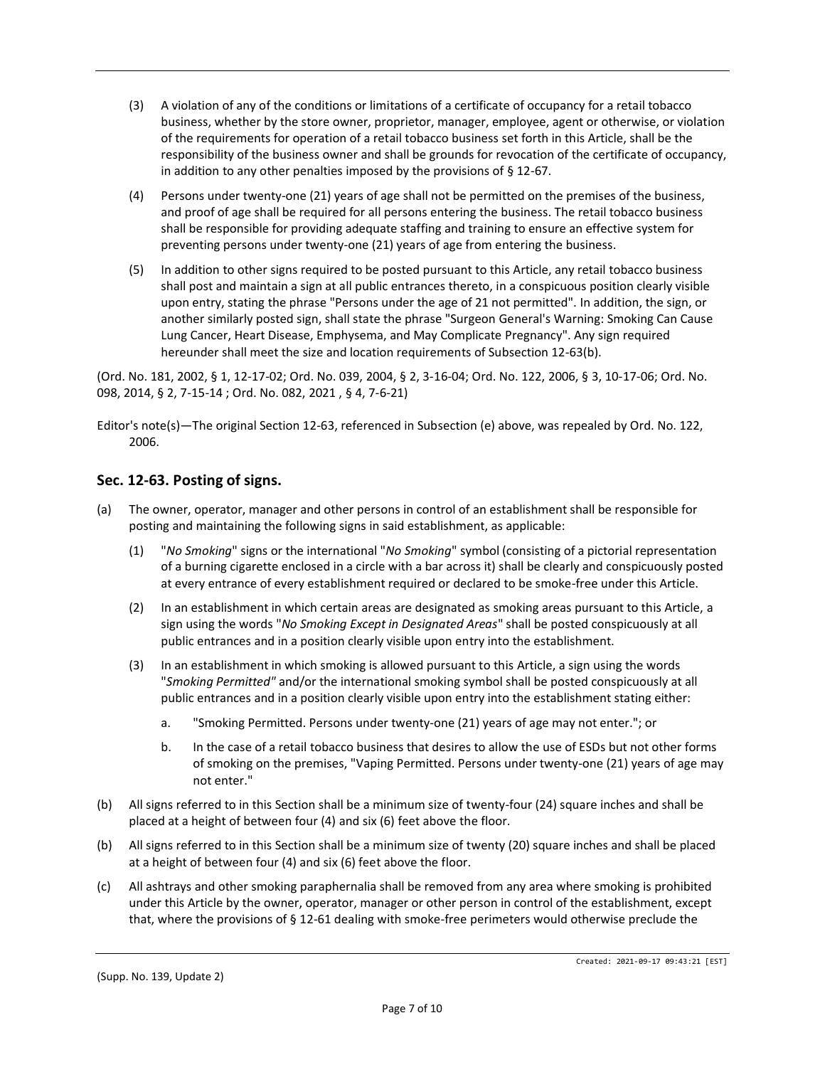- (3) A violation of any of the conditions or limitations of a certificate of occupancy for a retail tobacco business, whether by the store owner, proprietor, manager, employee, agent or otherwise, or violation of the requirements for operation of a retail tobacco business set forth in this Article, shall be the responsibility of the business owner and shall be grounds for revocation of the certificate of occupancy, in addition to any other penalties imposed by the provisions of § 12-67.
- (4) Persons under twenty-one (21) years of age shall not be permitted on the premises of the business, and proof of age shall be required for all persons entering the business. The retail tobacco business shall be responsible for providing adequate staffing and training to ensure an effective system for preventing persons under twenty-one (21) years of age from entering the business.
- (5) In addition to other signs required to be posted pursuant to this Article, any retail tobacco business shall post and maintain a sign at all public entrances thereto, in a conspicuous position clearly visible upon entry, stating the phrase "Persons under the age of 21 not permitted". In addition, the sign, or another similarly posted sign, shall state the phrase "Surgeon General's Warning: Smoking Can Cause Lung Cancer, Heart Disease, Emphysema, and May Complicate Pregnancy". Any sign required hereunder shall meet the size and location requirements of Subsection 12-63(b).

(Ord. No. 181, 2002, § 1, 12-17-02; Ord. No. 039, 2004, § 2, 3-16-04; Ord. No. 122, 2006, § 3, 10-17-06; Ord. No. 098, 2014, § 2, 7-15-14 ; Ord. No. 082, 2021 , § 4, 7-6-21)

Editor's note(s)—The original Section 12-63, referenced in Subsection (e) above, was repealed by Ord. No. 122, 2006.

## **Sec. 12-63. Posting of signs.**

- (a) The owner, operator, manager and other persons in control of an establishment shall be responsible for posting and maintaining the following signs in said establishment, as applicable:
	- (1) "*No Smoking*" signs or the international "*No Smoking*" symbol (consisting of a pictorial representation of a burning cigarette enclosed in a circle with a bar across it) shall be clearly and conspicuously posted at every entrance of every establishment required or declared to be smoke-free under this Article.
	- (2) In an establishment in which certain areas are designated as smoking areas pursuant to this Article, a sign using the words "*No Smoking Except in Designated Areas*" shall be posted conspicuously at all public entrances and in a position clearly visible upon entry into the establishment.
	- (3) In an establishment in which smoking is allowed pursuant to this Article, a sign using the words "*Smoking Permitted"* and/or the international smoking symbol shall be posted conspicuously at all public entrances and in a position clearly visible upon entry into the establishment stating either:
		- a. "Smoking Permitted. Persons under twenty-one (21) years of age may not enter."; or
		- b. In the case of a retail tobacco business that desires to allow the use of ESDs but not other forms of smoking on the premises, "Vaping Permitted. Persons under twenty-one (21) years of age may not enter."
- (b) All signs referred to in this Section shall be a minimum size of twenty-four (24) square inches and shall be placed at a height of between four (4) and six (6) feet above the floor.
- (b) All signs referred to in this Section shall be a minimum size of twenty (20) square inches and shall be placed at a height of between four (4) and six (6) feet above the floor.
- (c) All ashtrays and other smoking paraphernalia shall be removed from any area where smoking is prohibited under this Article by the owner, operator, manager or other person in control of the establishment, except that, where the provisions of § 12-61 dealing with smoke-free perimeters would otherwise preclude the

(Supp. No. 139, Update 2)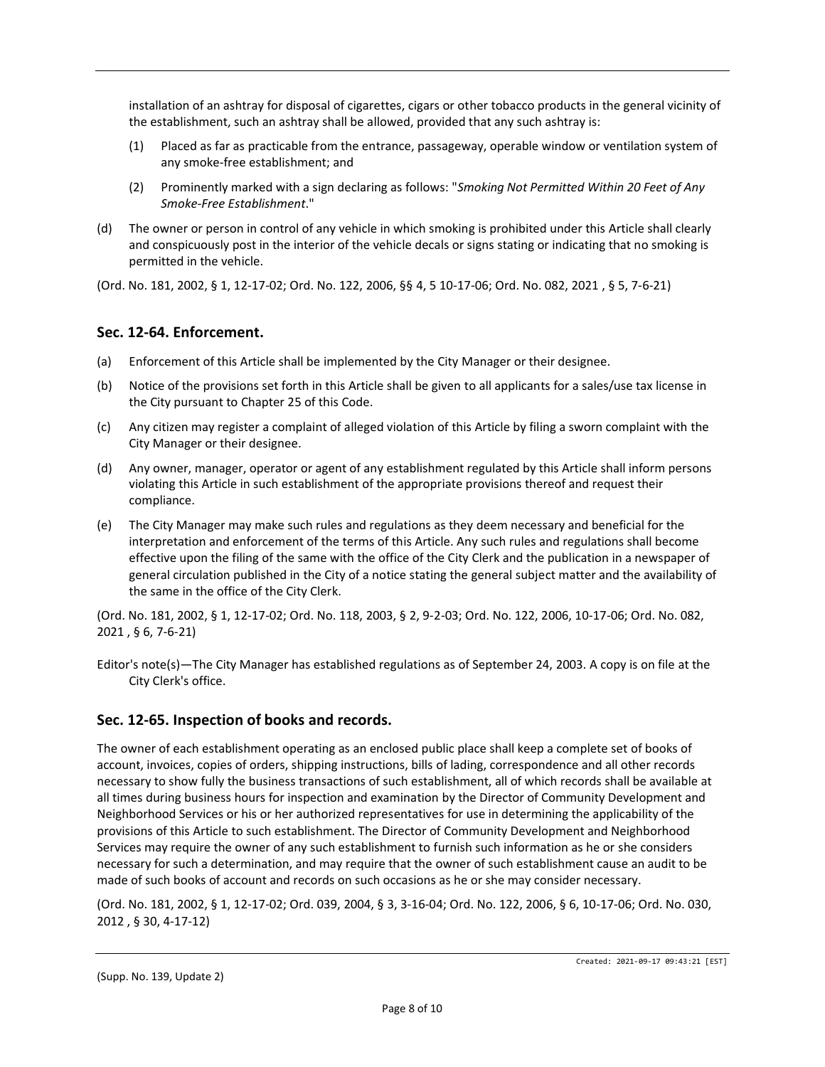installation of an ashtray for disposal of cigarettes, cigars or other tobacco products in the general vicinity of the establishment, such an ashtray shall be allowed, provided that any such ashtray is:

- (1) Placed as far as practicable from the entrance, passageway, operable window or ventilation system of any smoke-free establishment; and
- (2) Prominently marked with a sign declaring as follows: "*Smoking Not Permitted Within 20 Feet of Any Smoke-Free Establishment*."
- (d) The owner or person in control of any vehicle in which smoking is prohibited under this Article shall clearly and conspicuously post in the interior of the vehicle decals or signs stating or indicating that no smoking is permitted in the vehicle.

(Ord. No. 181, 2002, § 1, 12-17-02; Ord. No. 122, 2006, §§ 4, 5 10-17-06; Ord. No. 082, 2021 , § 5, 7-6-21)

### **Sec. 12-64. Enforcement.**

- (a) Enforcement of this Article shall be implemented by the City Manager or their designee.
- (b) Notice of the provisions set forth in this Article shall be given to all applicants for a sales/use tax license in the City pursuant to Chapter 25 of this Code.
- (c) Any citizen may register a complaint of alleged violation of this Article by filing a sworn complaint with the City Manager or their designee.
- (d) Any owner, manager, operator or agent of any establishment regulated by this Article shall inform persons violating this Article in such establishment of the appropriate provisions thereof and request their compliance.
- (e) The City Manager may make such rules and regulations as they deem necessary and beneficial for the interpretation and enforcement of the terms of this Article. Any such rules and regulations shall become effective upon the filing of the same with the office of the City Clerk and the publication in a newspaper of general circulation published in the City of a notice stating the general subject matter and the availability of the same in the office of the City Clerk.

(Ord. No. 181, 2002, § 1, 12-17-02; Ord. No. 118, 2003, § 2, 9-2-03; Ord. No. 122, 2006, 10-17-06; Ord. No. 082, 2021 , § 6, 7-6-21)

Editor's note(s)—The City Manager has established regulations as of September 24, 2003. A copy is on file at the City Clerk's office.

# **Sec. 12-65. Inspection of books and records.**

The owner of each establishment operating as an enclosed public place shall keep a complete set of books of account, invoices, copies of orders, shipping instructions, bills of lading, correspondence and all other records necessary to show fully the business transactions of such establishment, all of which records shall be available at all times during business hours for inspection and examination by the Director of Community Development and Neighborhood Services or his or her authorized representatives for use in determining the applicability of the provisions of this Article to such establishment. The Director of Community Development and Neighborhood Services may require the owner of any such establishment to furnish such information as he or she considers necessary for such a determination, and may require that the owner of such establishment cause an audit to be made of such books of account and records on such occasions as he or she may consider necessary.

(Ord. No. 181, 2002, § 1, 12-17-02; Ord. 039, 2004, § 3, 3-16-04; Ord. No. 122, 2006, § 6, 10-17-06; Ord. No. 030, 2012 , § 30, 4-17-12)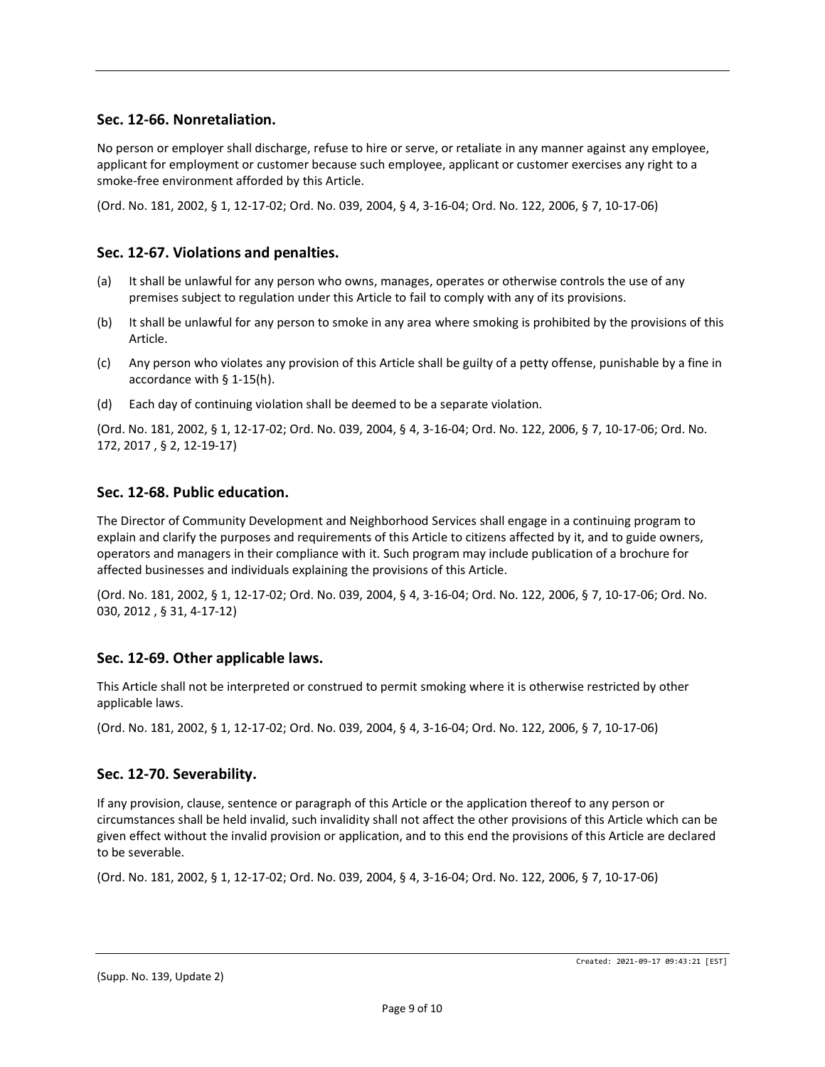## **Sec. 12-66. Nonretaliation.**

No person or employer shall discharge, refuse to hire or serve, or retaliate in any manner against any employee, applicant for employment or customer because such employee, applicant or customer exercises any right to a smoke-free environment afforded by this Article.

(Ord. No. 181, 2002, § 1, 12-17-02; Ord. No. 039, 2004, § 4, 3-16-04; Ord. No. 122, 2006, § 7, 10-17-06)

### **Sec. 12-67. Violations and penalties.**

- (a) It shall be unlawful for any person who owns, manages, operates or otherwise controls the use of any premises subject to regulation under this Article to fail to comply with any of its provisions.
- (b) It shall be unlawful for any person to smoke in any area where smoking is prohibited by the provisions of this Article.
- (c) Any person who violates any provision of this Article shall be guilty of a petty offense, punishable by a fine in accordance with § 1-15(h).
- (d) Each day of continuing violation shall be deemed to be a separate violation.

(Ord. No. 181, 2002, § 1, 12-17-02; Ord. No. 039, 2004, § 4, 3-16-04; Ord. No. 122, 2006, § 7, 10-17-06; Ord. No. 172, 2017 , § 2, 12-19-17)

### **Sec. 12-68. Public education.**

The Director of Community Development and Neighborhood Services shall engage in a continuing program to explain and clarify the purposes and requirements of this Article to citizens affected by it, and to guide owners, operators and managers in their compliance with it. Such program may include publication of a brochure for affected businesses and individuals explaining the provisions of this Article.

(Ord. No. 181, 2002, § 1, 12-17-02; Ord. No. 039, 2004, § 4, 3-16-04; Ord. No. 122, 2006, § 7, 10-17-06; Ord. No. 030, 2012 , § 31, 4-17-12)

#### **Sec. 12-69. Other applicable laws.**

This Article shall not be interpreted or construed to permit smoking where it is otherwise restricted by other applicable laws.

(Ord. No. 181, 2002, § 1, 12-17-02; Ord. No. 039, 2004, § 4, 3-16-04; Ord. No. 122, 2006, § 7, 10-17-06)

#### **Sec. 12-70. Severability.**

If any provision, clause, sentence or paragraph of this Article or the application thereof to any person or circumstances shall be held invalid, such invalidity shall not affect the other provisions of this Article which can be given effect without the invalid provision or application, and to this end the provisions of this Article are declared to be severable.

(Ord. No. 181, 2002, § 1, 12-17-02; Ord. No. 039, 2004, § 4, 3-16-04; Ord. No. 122, 2006, § 7, 10-17-06)